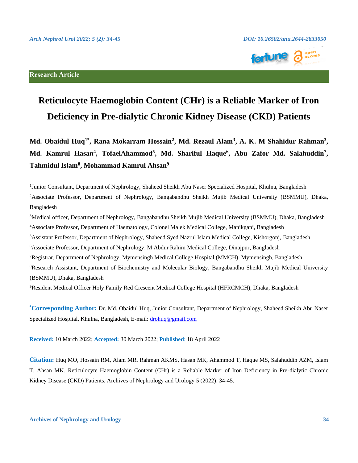

# **Reticulocyte Haemoglobin Content (CHr) is a Reliable Marker of Iron Deficiency in Pre-dialytic Chronic Kidney Disease (CKD) Patients**

Md. Obaidul Huq<sup>1\*</sup>, Rana Mokarram Hossain<sup>2</sup>, Md. Rezaul Alam<sup>3</sup>, A. K. M Shahidur Rahman<sup>3</sup>, **Md. Kamrul Hasan<sup>4</sup> , TofaelAhammod<sup>5</sup> , Md. Shariful Haque<sup>6</sup> , Abu Zafor Md. Salahuddin<sup>7</sup> , Tahmidul Islam<sup>8</sup> , Mohammad Kamrul Ahsan<sup>9</sup>**

<sup>1</sup>Junior Consultant, Department of Nephrology, Shaheed Sheikh Abu Naser Specialized Hospital, Khulna, Bangladesh <sup>2</sup>Associate Professor, Department of Nephrology, Bangabandhu Sheikh Mujib Medical University (BSMMU), Dhaka, Bangladesh

<sup>3</sup>Medical officer, Department of Nephrology, Bangabandhu Sheikh Mujib Medical University (BSMMU), Dhaka, Bangladesh <sup>4</sup>Associate Professor, Department of Haematology, Colonel Malek Medical College, Manikganj, Bangladesh

<sup>5</sup>Assistant Professor, Department of Nephrology, Shaheed Syed Nazrul Islam Medical College, Kishorgonj, Bangladesh

<sup>6</sup>Associate Professor, Department of Nephrology, M Abdur Rahim Medical College, Dinajpur, Bangladesh

<sup>7</sup>Registrar, Department of Nephrology, Mymensingh Medical College Hospital (MMCH), Mymensingh, Bangladesh

<sup>8</sup>Research Assistant, Department of Biochemistry and Molecular Biology, Bangabandhu Sheikh Mujib Medical University (BSMMU), Dhaka, Bangladesh

<sup>9</sup>Resident Medical Officer Holy Family Red Crescent Medical College Hospital (HFRCMCH), Dhaka, Bangladesh

**\*Corresponding Author:** Dr. Md. Obaidul Huq, Junior Consultant, Department of Nephrology, Shaheed Sheikh Abu Naser Specialized Hospital, Khulna, Bangladesh, E-mail[: drohuq@gmail.com](mailto:drohuq@gmail.com)

**Received:** 10 March 2022; **Accepted:** 30 March 2022; **Published**: 18 April 2022

**Citation:** Huq MO, Hossain RM, Alam MR, Rahman AKMS, Hasan MK, Ahammod T, Haque MS, Salahuddin AZM, Islam T, Ahsan MK. Reticulocyte Haemoglobin Content (CHr) is a Reliable Marker of Iron Deficiency in Pre-dialytic Chronic Kidney Disease (CKD) Patients. Archives of Nephrology and Urology 5 (2022): 34-45.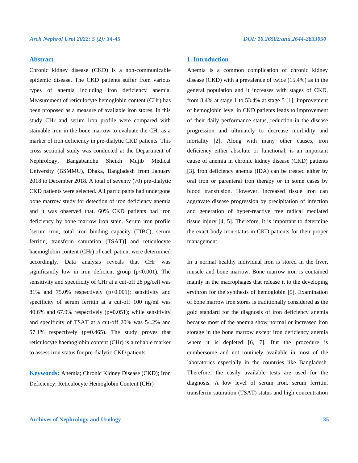# **Abstract**

Chronic kidney disease (CKD) is a non-communicable epidemic disease. The CKD patients suffer from various types of anemia including iron deficiency anemia. Measurement of reticulocyte hemoglobin content (CHr) has been proposed as a measure of available iron stores. In this study CHr and serum iron profile were compared with stainable iron in the bone marrow to evaluate the CHr as a marker of iron deficiency in pre-dialytic CKD patients. This cross sectional study was conducted at the Department of Nephrology, Bangabandhu Sheikh Mujib Medical University (BSMMU), Dhaka, Bangladesh from January 2018 to December 2018. A total of seventy (70) pre-dialytic CKD patients were selected. All participants had undergone bone marrow study for detection of iron deficiency anemia and it was observed that, 60% CKD patients had iron deficiency by bone marrow iron stain. Serum iron profile [serum iron, total iron binding capacity (TIBC), serum ferritin, transferin saturation (TSAT)] and reticulocyte haemoglobin content (CHr) of each patient were determined accordingly. Data analysis reveals that CHr was significantly low in iron deficient group  $(p<0.001)$ . The sensitivity and specificity of CHr at a cut-off 28 pg/cell was 81% and 75.0% respectively  $(p<0.001)$ ; sensitivity and specificity of serum ferritin at a cut-off 100 ng/ml was 40.6% and 67.9% respectively ( $p=0.051$ ); while sensitivity and specificity of TSAT at a cut-off 20% was 54.2% and 57.1% respectively (p=0.465). The study proves that reticulocyte haemoglobin content (CHr) is a reliable marker to assess iron status for pre-dialytic CKD patients.

**Keywords:** Anemia; Chronic Kidney Disease (CKD); Iron Deficiency; Reticulocyte Hemoglobin Content (CHr)

# **1. Introduction**

Anemia is a common complication of chronic kidney disease (CKD) with a prevalence of twice (15.4%) as in the general population and it increases with stages of CKD, from 8.4% at stage 1 to 53.4% at stage 5 [1]. Improvement of hemoglobin level in CKD patients leads to improvement of their daily performance status, reduction in the disease progression and ultimately to decrease morbidity and mortality [2]. Along with many other causes, iron deficiency either absolute or functional, is an important cause of anemia in chronic kidney disease (CKD) patients [3]. Iron deficiency anemia (IDA) can be treated either by oral iron or parenteral iron therapy or in some cases by blood transfusion. However, increased tissue iron can aggravate disease progression by precipitation of infection and generation of hyper-reactive free radical mediated tissue injury [4, 5]. Therefore, it is important to determine the exact body iron status in CKD patients for their proper management.

In a normal healthy individual iron is stored in the liver, muscle and bone marrow. Bone marrow iron is contained mainly in the macrophages that release it to the developing erythron for the synthesis of hemoglobin [5]. Examination of bone marrow iron stores is traditionally considered as the gold standard for the diagnosis of iron deficiency anemia because most of the anemia show normal or increased iron storage in the bone marrow except iron deficiency anemia where it is depleted [6, 7]. But the procedure is cumbersome and not routinely available in most of the laboratories especially in the countries like Bangladesh. Therefore, the easily available tests are used for the diagnosis. A low level of serum iron, serum ferritin, transferrin saturation (TSAT) status and high concentration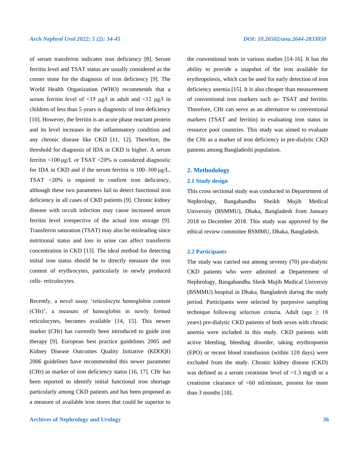of serum transferrin indicates iron deficiency [8]. Serum ferritin level and TSAT status are usually considered as the corner stone for the diagnosis of iron deficiency [9]. The World Health Organization (WHO) recommends that a serum ferritin level of <15 μg/l in adult and <12 μg/l in children of less than 5 years is diagnostic of iron deficiency [10]. However, the ferritin is an acute phase reactant protein and its level increases in the inflammatory condition and any chronic disease like CKD [11, 12]. Therefore, the threshold for diagnosis of IDA in CKD is higher. A serum ferritin <100 μg/L or TSAT <20% is considered diagnostic for IDA in CKD and if the serum ferritin is 100–300 μg/L, TSAT <20% is required to confirm iron deficiency, although these two parameters fail to detect functional iron deficiency in all cases of CKD patients [9]. Chronic kidney disease with occult infection may cause increased serum ferritin level irrespective of the actual iron storage [9]. Transferrin saturation (TSAT) may also be misleading since nutritional status and loss in urine can affect transferrin concentration in CKD [13]. The ideal method for detecting initial iron status should be to directly measure the iron content of erythrocytes, particularly in newly produced cells- reticulocytes.

Recently, a novel assay 'reticulocyte hemoglobin content (CHr)', a measure of hemoglobin in newly formed reticulocytes, becomes available [14, 15]. This newer marker (CHr) has currently been introduced to guide iron therapy [9]. European best practice guidelines 2005 and Kidney Disease Outcomes Quality Initiative (KDOQI) 2006 guidelines have recommended this newer parameter (CHr) as marker of iron deficiency status [16, 17]. CHr has been reported to identify initial functional iron shortage particularly among CKD patients and has been proposed as a measure of available iron stores that could be superior to

**Archives of Nephrology and Urology 36**

the conventional tests in various studies [14-16]. It has the ability to provide a snapshot of the iron available for erythropoiesis, which can be used for early detection of iron deficiency anemia [15]. It is also cheaper than measurement of conventional iron markers such as- TSAT and ferritin. Therefore, CHr can serve as an alternative to conventional markers (TSAT and ferritin) in evaluating iron status in resource poor countries. This study was aimed to evaluate the CHr as a marker of iron deficiency in pre-dialytic CKD patients among Bangladeshi population.

# **2. Methodology**

#### **2.1 Study design**

This cross sectional study was conducted in Departement of Nephrology, Bangabandhu Sheikh Mujib Medical University (BSMMU), Dhaka, Bangladesh from January 2018 to December 2018. This study was approved by the ethical review committee BSMMU, Dhaka, Bangladesh.

#### **2.2 Participants**

The study was carried out among seventy (70) pre-dialytic CKD patients who were admitted at Departement of Nephrology, Bangabandhu Sheik Mujib Medical Universiy (BSMMU) hospital in Dhaka, Bangladesh during the study period. Participants were selected by purposive sampling technique following selection criteria. Adult (age  $\geq 18$ ) years) pre-dialytic CKD patients of both sexes with chronic anemia were included in this study. CKD patients with active bleeding, bleeding disorder, taking erythropoetin (EPO) or recent blood transfusion (within 120 days) were excluded from the study. Chronic kidney disease (CKD) was defined as a serum creatinine level of >1.3 mg/dl or a creatinine clearance of <60 ml/minute, present for more than 3 months [18].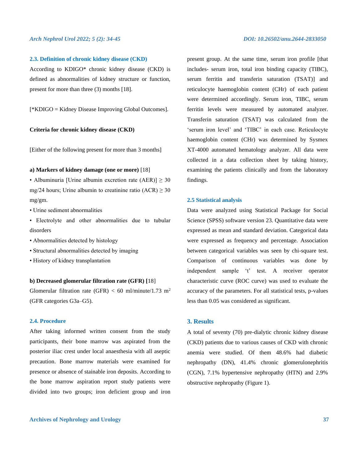#### **2.3. Definition of chronic kidney disease (CKD)**

According to KDIGO\* chronic kidney disease (CKD) is defined as abnormalities of kidney structure or function, present for more than three (3) months [18].

[\*KDIGO = Kidney Disease Improving Global Outcomes].

#### **Criteria for chronic kidney disease (CKD)**

[Either of the following present for more than 3 months]

# **a) Markers of kidney damage (one or more)** [18]

• Albuminuria [Urine albumin excretion rate  $(AER)$ ]  $\geq 30$ mg/24 hours; Urine albumin to creatinine ratio (ACR)  $\geq$  30 mg/gm.

• Urine sediment abnormalities

• Electrolyte and other abnormalities due to tubular disorders

- Abnormalities detected by histology
- Structural abnormalities detected by imaging
- History of kidney transplantation

#### **b) Decreased glomerular filtration rate (GFR) [**18]

Glomerular filtration rate (GFR) < 60 ml/minute/1.73 m<sup>2</sup> (GFR categories G3a–G5).

# **2.4. Procedure**

After taking informed written consent from the study participants, their bone marrow was aspirated from the posterior iliac crest under local anaesthesia with all aseptic precaution. Bone marrow materials were examined for presence or absence of stainable iron deposits. According to the bone marrow aspiration report study patients were divided into two groups; iron deficient group and iron

present group. At the same time, serum iron profile [that includes- serum iron, total iron binding capacity (TIBC), serum ferritin and transferin saturation (TSAT)] and reticulocyte haemoglobin content (CHr) of each patient were determined accordingly. Serum iron, TIBC, serum ferritin levels were measured by automated analyzer. Transferin saturation (TSAT) was calculated from the 'serum iron level' and 'TIBC' in each case. Reticulocyte haemoglobin content (CHr) was determined by Sysmex XT-4000 automated hematology analyzer. All data were collected in a data collection sheet by taking history, examining the patients clinically and from the laboratory findings.

#### **2.5 Statistical analysis**

Data were analyzed using Statistical Package for Social Science (SPSS) software version 23. Quantitative data were expressed as mean and standard deviation. Categorical data were expressed as frequency and percentage. Association between categorical variables was seen by chi-square test. Comparison of continuous variables was done by independent sample 't' test. A receiver operator characteristic curve (ROC curve) was used to evaluate the accuracy of the parameters. For all statistical tests, p-values less than 0.05 was considered as significant.

# **3. Results**

A total of seventy (70) pre-dialytic chronic kidney disease (CKD) patients due to various causes of CKD with chronic anemia were studied. Of them 48.6% had diabetic nephropathy (DN), 41.4% chronic glomerulonephritis (CGN), 7.1% hypertensive nephropathy (HTN) and 2.9% obstructive nephropathy (Figure 1).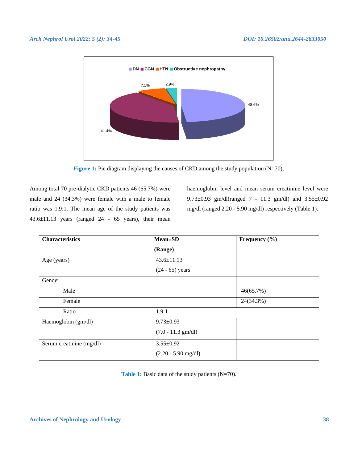

**Figure 1:** Pie diagram displaying the causes of CKD among the study population (N=70).

Among total 70 pre-dialytic CKD patients 46 (65.7%) were male and 24 (34.3%) were female with a male to female ratio was 1.9:1. The mean age of the study patients was 43.6±11.13 years (ranged 24 - 65 years), their mean haemoglobin level and mean serum creatinine level were 9.73±0.93 gm/dl(ranged 7 - 11.3 gm/dl) and 3.55±0.92 mg/dl (ranged 2.20 - 5.90 mg/dl) respectively (Table 1).

| <b>Characteristics</b>   | <b>Mean</b> ±SD       | Frequency $(\% )$ |  |
|--------------------------|-----------------------|-------------------|--|
|                          | (Range)               |                   |  |
| Age (years)              | $43.6 \pm 11.13$      |                   |  |
|                          | $(24 - 65)$ years     |                   |  |
| Gender                   |                       |                   |  |
| Male                     |                       | 46(65.7%)         |  |
| Female                   |                       | 24(34.3%)         |  |
| Ratio                    | 1.9:1                 |                   |  |
| Haemoglobin (gm/dl)      | $9.73 \pm 0.93$       |                   |  |
|                          | $(7.0 - 11.3$ gm/dl)  |                   |  |
| Serum creatinine (mg/dl) | $3.55 \pm 0.92$       |                   |  |
|                          | $(2.20 - 5.90$ mg/dl) |                   |  |

Table 1: Basic data of the study patients (N=70).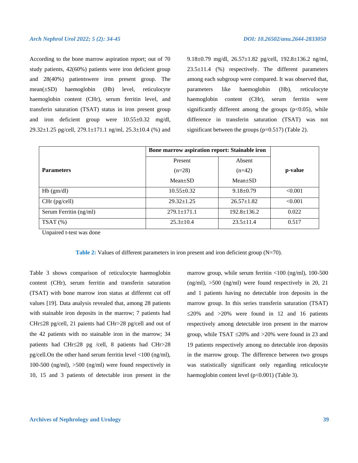According to the bone marrow aspiration report; out of 70 study patients, 42(60%) patients were iron deficient group and 28(40%) patientswere iron present group. The mean(±SD) haemoglobin (Hb) level, reticulocyte haemoglobin content (CHr), serum ferritin level, and transferin saturation (TSAT) status in iron present group and iron deficient group were 10.55±0.32 mg/dl, 29.32 $\pm$ 1.25 pg/cell, 279.1 $\pm$ 171.1 ng/ml, 25.3 $\pm$ 10.4 (%) and

9.18±0.79 mg/dl, 26.57±1.82 pg/cell, 192.8±136.2 ng/ml,  $23.5\pm11.4$  (%) respectively. The different parameters among each subgroup were compared. It was observed that, parameters like haemoglobin (Hb), reticulocyte haemoglobin content (CHr), serum ferritin were significantly different among the groups  $(p<0.05)$ , while difference in transferin saturation (TSAT) was not significant between the groups  $(p=0.517)$  (Table 2).

|                        | Bone marrow aspiration report: Stainable iron |                   |         |  |
|------------------------|-----------------------------------------------|-------------------|---------|--|
|                        | Present                                       | Absent            |         |  |
| <b>Parameters</b>      | $(n=28)$<br>$(n=42)$                          |                   | p-value |  |
|                        | $Mean+SD$                                     | $Mean \pm SD$     |         |  |
| $Hb$ (gm/dl)           | $10.55+0.32$                                  | $9.18 \pm 0.79$   | < 0.001 |  |
| $CHr$ (pg/cell)        | $29.32 \pm 1.25$                              | $26.57 \pm 1.82$  | < 0.001 |  |
| Serum Ferritin (ng/ml) | $279.1 \pm 171.1$                             | $192.8 \pm 136.2$ | 0.022   |  |
| $TSAT$ $%$             | $25.3 \pm 10.4$                               | $23.5 \pm 11.4$   | 0.517   |  |

Unpaired t-test was done

**Table 2:** Values of different parameters in iron present and iron deficient group (N=70).

Table 3 shows comparison of reticulocyte haemoglobin content (CHr), serum ferritin and transferin saturation (TSAT) with bone marrow iron status at different cut off values [19]. Data analysis revealed that, among 28 patients with stainable iron deposits in the marrow; 7 patients had CHr28 pg/cell, 21 paients had CHr>28 pg/cell and out of the 42 patients with no stainable iron in the marrow; 34 patients had CHr $\leq$ 28 pg /cell, 8 patients had CHr $>$ 28 pg/cell.On the other hand serum ferritin level <100 (ng/ml), 100-500 (ng/ml), >500 (ng/ml) were found respectively in 10, 15 and 3 patients of detectable iron present in the

marrow group, while serum ferritin <100 (ng/ml), 100-500 (ng/ml), >500 (ng/ml) were found respectively in 20, 21 and 1 patients having no detectable iron deposits in the marrow group. In this series transferin saturation (TSAT)  $\leq$ 20% and  $>$ 20% were found in 12 and 16 patients respectively among detectable iron present in the marrow group, while TSAT  $\leq$ 20% and  $>$ 20% were found in 23 and 19 patients respectively among no detectable iron deposits in the marrow group. The difference between two groups was statistically significant only regarding reticulocyte haemoglobin content level (p<0.001) (Table 3).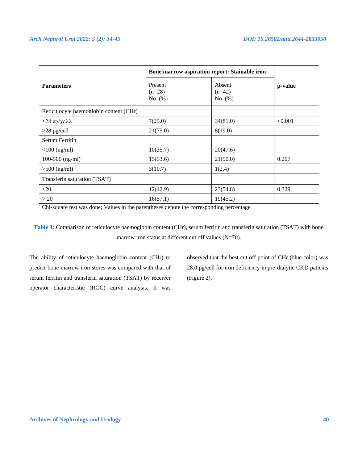|                                        | Bone marrow aspiration report: Stainable iron |                               |         |  |
|----------------------------------------|-----------------------------------------------|-------------------------------|---------|--|
| <b>Parameters</b>                      | Present<br>$(n=28)$<br>No. $(\%)$             | Absent<br>$(n=42)$<br>No. (%) | p-value |  |
| Reticulocyte haemoglobin content (CHr) |                                               |                               |         |  |
| ≤28 πγ/χελλ                            | 7(25.0)                                       | 34(81.0)                      | < 0.001 |  |
| $>28$ pg/cell                          | 21(75.0)                                      | 8(19.0)                       |         |  |
| <b>Serum Ferritin</b>                  |                                               |                               |         |  |
| $<$ 100 (ng/ml)                        | 10(35.7)                                      | 20(47.6)                      |         |  |
| $100-500$ (ng/ml)                      | 15(53.6)                                      | 21(50.0)                      | 0.267   |  |
| $>500$ (ng/ml)                         | 3(10.7)                                       | 1(2.4)                        |         |  |
| Transferin saturation (TSAT)           |                                               |                               |         |  |
| $\leq$ 20                              | 12(42.9)                                      | 23(54.8)                      | 0.329   |  |
| >20                                    | 16(57.1)                                      | 19(45.2)                      |         |  |

Chi-square test was done; Values in the parentheses denote the corresponding percentage

**Table 3:** Comparison of reticulocyte haemoglobin content (CHr), serum ferritin and transferin saturation (TSAT) with bone marrow iron status at different cut off values (N=70).

The ability of reticulocyte haemoglobin content (CHr) to predict bone marrow iron stores was compared with that of serum ferritin and transferin saturation (TSAT) by receiver operator characteristic (ROC) curve analysis. It was

observed that the best cut off point of CHr (blue color) was 28.0 pg/cell for iron deficiency in pre-dialytic CKD patients (Figure 2).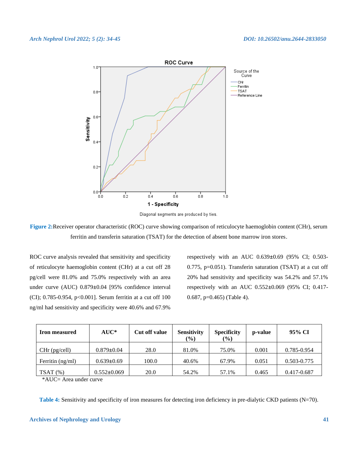

Diagonal segments are produced by ties.

**Figure 2:**Receiver operator characteristic (ROC) curve showing comparison of reticulocyte haemoglobin content (CHr), serum ferritin and transferin saturation (TSAT) for the detection of absent bone marrow iron stores.

ROC curve analysis revealed that sensitivity and specificity of reticulocyte haemoglobin content (CHr) at a cut off 28 pg/cell were 81.0% and 75.0% respectively with an area under curve (AUC) 0.879**±**0.04 [95% confidence interval (CI); 0.785-0.954, p<0.001]. Serum ferritin at a cut off 100 ng/ml had sensitivity and specificity were 40.6% and 67.9%

respectively with an AUC 0.639**±**0.69 (95% CI; 0.503- 0.775, p=0.051). Transferin saturation (TSAT) at a cut off 20% had sensitivity and specificity was 54.2% and 57.1% respectively with an AUC 0.552**±**0.069 (95% CI; 0.417- 0.687, p=0.465) (Table 4).

| <b>Iron measured</b> | $AUC^*$          | Cut off value | <b>Sensitivity</b><br>$(\%)$ | <b>Specificity</b><br>$\frac{9}{6}$ | p-value | 95% CI      |
|----------------------|------------------|---------------|------------------------------|-------------------------------------|---------|-------------|
| $CHr$ (pg/cell)      | $0.879 \pm 0.04$ | 28.0          | 81.0%                        | 75.0%                               | 0.001   | 0.785-0.954 |
| Ferritin $(ng/ml)$   | $0.639 \pm 0.69$ | 100.0         | 40.6%                        | 67.9%                               | 0.051   | 0.503-0.775 |
| $TSAT(\% )$          | 0.552±0.069      | 20.0          | 54.2%                        | 57.1%                               | 0.465   | 0.417-0.687 |

\*AUC= Area under curve

**Table 4:** Sensitivity and specificity of iron measures for detecting iron deficiency in pre-dialytic CKD patients (N=70).

#### **Archives of Nephrology and Urology 41**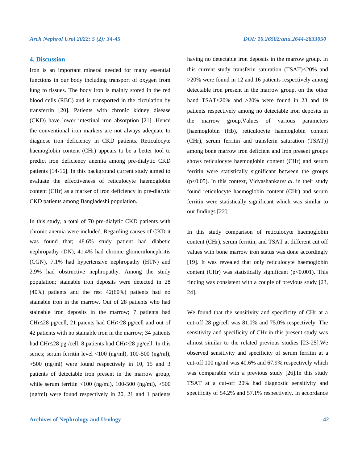### **4. Discussion**

Iron is an important mineral needed for many essential functions in our body including transport of oxygen from lung to tissues. The body iron is mainly stored in the red blood cells (RBC) and is transported in the circulation by transferrin [20]. Patients with chronic kidney disease (CKD) have lower intestinal iron absorption [21]. Hence the conventional iron markers are not always adequate to diagnose iron deficiency in CKD patients. Reticulocyte haemoglobin content (CHr) appears to be a better tool to predict iron deficiency anemia among pre-dialytic CKD patients [14-16]. In this background current study aimed to evaluate the effectiveness of reticulocyte haemoglobin content (CHr) as a marker of iron deficiency in pre-dialytic CKD patients among Bangladeshi population.

In this study, a total of 70 pre-dialytic CKD patients with chronic anemia were included. Regarding causes of CKD it was found that; 48.6% study patient had diabetic nephropathy (DN), 41.4% had chronic glomerulonephritis (CGN), 7.1% had hypertensive nephropathy (HTN) and 2.9% had obstructive nephropathy. Among the study population; stainable iron deposits were detected in 28 (40%) patients and the rest 42(60%) patients had no stainable iron in the marrow. Out of 28 patients who had stainable iron deposits in the marrow; 7 patients had CHr28 pg/cell, 21 paients had CHr>28 pg/cell and out of 42 patients with no stainable iron in the marrow; 34 patients had CHr≤28 pg /cell, 8 patients had CHr>28 pg/cell. In this series; serum ferritin level  $\langle 100 \text{ (ng/ml)}, 100 \text{-} 500 \text{ (ng/ml)},$ >500 (ng/ml) were found respectively in 10, 15 and 3 patients of detectable iron present in the marrow group, while serum ferritin  $\langle 100 \text{ (ng/ml)}, 100\text{-}500 \text{ (ng/ml)}, \rangle 500$ (ng/ml) were found respectively in 20, 21 and 1 patients

having no detectable iron deposits in the marrow group. In this current study transferin saturation  $(TSAT) \leq 20\%$  and >20% were found in 12 and 16 patients respectively among detectable iron present in the marrow group, on the other hand TSAT $\leq$ 20% and  $>$ 20% were found in 23 and 19 patients respectively among no detectable iron deposits in the marrow group.Values of various parameters [haemoglobin (Hb), reticulocyte haemoglobin content (CHr), serum ferritin and transferin saturation (TSAT)] among bone marrow iron deficient and iron present groups shows reticulocyte haemoglobin content (CHr) and serum ferritin were statistically significant between the groups (p<0.05). In this context, Vidyashankar*et al*. in their study found reticulocyte haemoglobin content (CHr) and serum ferritin were statistically significant which was similar to our findings [22].

In this study comparison of reticulocyte haemoglobin content (CHr), serum ferritin, and TSAT at different cut off values with bone marrow iron status was done accordingly [19]. It was revealed that only reticulocyte haemoglobin content (CHr) was statistically significant ( $p<0.001$ ). This finding was consistent with a couple of previous study [23, 24].

We found that the sensitivity and specificity of CHr at a cut-off 28 pg/cell was 81.0% and 75.0% respectively. The sensitivity and specificity of CHr in this present study was almost similar to the related previous studies [23-25].We observed sensitivity and specificity of serum ferritin at a cut-off 100 ng/ml was 40.6% and 67.9% respectively which was comparable with a previous study [26].In this study TSAT at a cut-off 20% had diagnostic sensitivity and specificity of 54.2% and 57.1% respectively. In accordance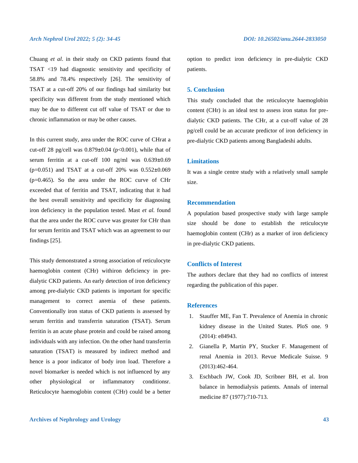Chuang *et al*. in their study on CKD patients found that TSAT <19 had diagnostic sensitivity and specificity of 58.8% and 78.4% respectively [26]. The sensitivity of TSAT at a cut-off 20% of our findings had similarity but specificity was different from the study mentioned which may be due to different cut off value of TSAT or due to chronic inflammation or may be other causes.

In this current study, area under the ROC curve of CHrat a cut-off 28 pg/cell was 0.879**±**0.04 (p<0.001), while that of serum ferritin at a cut-off 100 ng/ml was 0.639**±**0.69 (p=0.051) and TSAT at a cut-off 20% was 0.552**±**0.069 (p=0.465). So the area under the ROC curve of CHr exceeded that of ferritin and TSAT, indicating that it had the best overall sensitivity and specificity for diagnosing iron deficiency in the population tested. Mast *et al.* found that the area under the ROC curve was greater for CHr than for serum ferritin and TSAT which was an agreement to our findings [25].

This study demonstrated a strong association of reticulocyte haemoglobin content (CHr) withiron deficiency in predialytic CKD patients. An early detection of iron deficiency among pre-dialytic CKD patients is important for specific management to correct anemia of these patients. Conventionally iron status of CKD patients is assessed by serum ferritin and transferrin saturation (TSAT). Serum ferritin is an acute phase protein and could be raised among individuals with any infection. On the other hand transferrin saturation (TSAT) is measured by indirect method and hence is a poor indicator of body iron load. Therefore a novel biomarker is needed which is not influenced by any other physiological or inflammatory conditionsr. Reticulocyte haemoglobin content (CHr) could be a better option to predict iron deficiency in pre-dialytic CKD patients.

### **5. Conclusion**

This study concluded that the reticulocyte haemoglobin content (CHr) is an ideal test to assess iron status for predialytic CKD patients. The CHr, at a cut-off value of 28 pg/cell could be an accurate predictor of iron deficiency in pre-dialytic CKD patients among Bangladeshi adults.

# **Limitations**

It was a single centre study with a relatively small sample size.

# **Recommendation**

A population based prospective study with large sample size should be done to establish the reticulocyte haemoglobin content (CHr) as a marker of iron deficiency in pre-dialytic CKD patients.

# **Conflicts of Interest**

The authors declare that they had no conflicts of interest regarding the publication of this paper.

#### **References**

- 1. Stauffer ME, Fan T. Prevalence of Anemia in chronic kidney disease in the United States. PloS one. 9 (2014): e84943.
- 2. Gianella P, Martin PY, Stucker F. Management of renal Anemia in 2013. Revue Medicale Suisse. 9 (2013):462-464.
- 3. Eschbach JW, Cook JD, Scribner BH, et al. Iron balance in hemodialysis patients. Annals of internal medicine 87 (1977):710-713.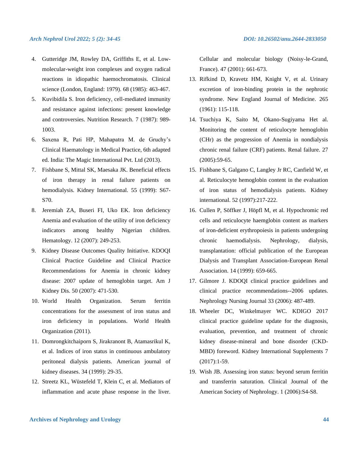- 4. Gutteridge JM, Rowley DA, Griffiths E, et al. Lowmolecular-weight iron complexes and oxygen radical reactions in idiopathic haemochromatosis. Clinical science (London, England: 1979). 68 (1985): 463-467.
- 5. Kuvibidila S. Iron deficiency, cell-mediated immunity and resistance against infections: present knowledge and controversies. Nutrition Research. 7 (1987): 989- 1003.
- 6. Saxena R, Pati HP, Mahapatra M. de Gruchy's Clinical Haematology in Medical Practice, 6th adapted ed. India: The Magic International Pvt. Ltd (2013).
- 7. Fishbane S, Mittal SK, Maesaka JK. Beneficial effects of iron therapy in renal failure patients on hemodialysis. Kidney International. 55 (1999): S67- S70.
- 8. Jeremiah ZA, Buseri FI, Uko EK. Iron deficiency Anemia and evaluation of the utility of iron deficiency indicators among healthy Nigerian children. Hematology. 12 (2007): 249-253.
- 9. Kidney Disease Outcomes Quality Initiative. KDOQI Clinical Practice Guideline and Clinical Practice Recommendations for Anemia in chronic kidney disease: 2007 update of hemoglobin target. Am J Kidney Dis. 50 (2007): 471-530.
- 10. World Health Organization. Serum ferritin concentrations for the assessment of iron status and iron deficiency in populations. World Health Organization (2011).
- 11. Domrongkitchaiporn S, Jirakranont B, Atamasrikul K, et al. Indices of iron status in continuous ambulatory peritoneal dialysis patients. American journal of kidney diseases. 34 (1999): 29-35.
- 12. Streetz KL, Wüstefeld T, Klein C, et al. Mediators of inflammation and acute phase response in the liver.

Cellular and molecular biology (Noisy-le-Grand, France). 47 (2001): 661-673.

- 13. Rifkind D, Kravetz HM, Knight V, et al. Urinary excretion of iron-binding protein in the nephrotic syndrome. New England Journal of Medicine. 265 (1961): 115-118.
- 14. Tsuchiya K, Saito M, Okano-Sugiyama Het al. Monitoring the content of reticulocyte hemoglobin (CHr) as the progression of Anemia in nondialysis chronic renal failure (CRF) patients. Renal failure. 27 (2005):59-65.
- 15. Fishbane S, Galgano C, Langley Jr RC, Canfield W, et al. Reticulocyte hemoglobin content in the evaluation of iron status of hemodialysis patients. Kidney international. 52 (1997):217-222.
- 16. Cullen P, Söffker J, Höpfl M, et al. Hypochromic red cells and reticulocyte haemglobin content as markers of iron-deficient erythropoiesis in patients undergoing chronic haemodialysis. Nephrology, dialysis, transplantation: official publication of the European Dialysis and Transplant Association-European Renal Association. 14 (1999): 659-665.
- 17. Gilmore J. KDOQI clinical practice guidelines and clinical practice recommendations--2006 updates. Nephrology Nursing Journal 33 (2006): 487-489.
- 18. Wheeler DC, Winkelmayer WC. KDIGO 2017 clinical practice guideline update for the diagnosis, evaluation, prevention, and treatment of chronic kidney disease-mineral and bone disorder (CKD-MBD) foreword. Kidney International Supplements 7 (2017):1-59.
- 19. Wish JB. Assessing iron status: beyond serum ferritin and transferrin saturation. Clinical Journal of the American Society of Nephrology. 1 (2006):S4-S8.